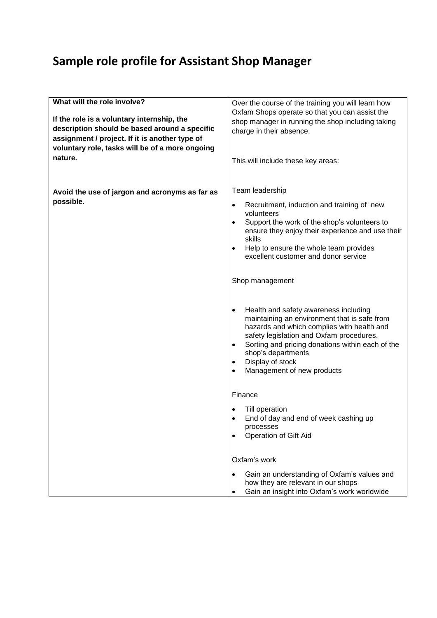## **Sample role profile for Assistant Shop Manager**

| What will the role involve?<br>If the role is a voluntary internship, the<br>description should be based around a specific<br>assignment / project. If it is another type of<br>voluntary role, tasks will be of a more ongoing<br>nature. | Over the course of the training you will learn how<br>Oxfam Shops operate so that you can assist the<br>shop manager in running the shop including taking<br>charge in their absence.<br>This will include these key areas:                                                                                                                                                                                                                                                                                                                                                                                                                                                                                                                                                                                                                           |
|--------------------------------------------------------------------------------------------------------------------------------------------------------------------------------------------------------------------------------------------|-------------------------------------------------------------------------------------------------------------------------------------------------------------------------------------------------------------------------------------------------------------------------------------------------------------------------------------------------------------------------------------------------------------------------------------------------------------------------------------------------------------------------------------------------------------------------------------------------------------------------------------------------------------------------------------------------------------------------------------------------------------------------------------------------------------------------------------------------------|
| Avoid the use of jargon and acronyms as far as<br>possible.                                                                                                                                                                                | Team leadership<br>Recruitment, induction and training of new<br>$\bullet$<br>volunteers<br>Support the work of the shop's volunteers to<br>$\bullet$<br>ensure they enjoy their experience and use their<br>skills<br>Help to ensure the whole team provides<br>$\bullet$<br>excellent customer and donor service<br>Shop management<br>Health and safety awareness including<br>$\bullet$<br>maintaining an environment that is safe from<br>hazards and which complies with health and<br>safety legislation and Oxfam procedures.<br>Sorting and pricing donations within each of the<br>$\bullet$<br>shop's departments<br>Display of stock<br>$\bullet$<br>Management of new products<br>$\bullet$<br>Finance<br>Till operation<br>End of day and end of week cashing up<br>$\bullet$<br>processes<br><b>Operation of Gift Aid</b><br>$\bullet$ |
|                                                                                                                                                                                                                                            | Oxfam's work<br>Gain an understanding of Oxfam's values and<br>$\bullet$<br>how they are relevant in our shops<br>Gain an insight into Oxfam's work worldwide<br>٠                                                                                                                                                                                                                                                                                                                                                                                                                                                                                                                                                                                                                                                                                    |